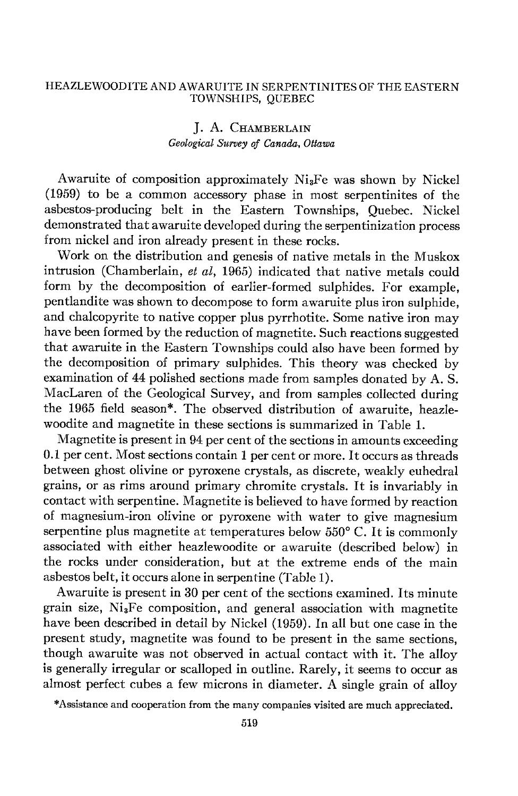### HEAZLEWOODITEAND AWARUITE IN SERPENTINITES OF THE EASTERN TOWNSHIPS, QUEBEC

## J. A. CHAMBERLAIN Geological Survey of Canada, Ottawa

Awaruite of composition approximately  $Ni<sub>3</sub>Fe$  was shown by Nickel (1959) to be a common accessory phase in most serpentinites of the asbestos-producing belt in the Eastern Townships, Quebec. Nickel demonstrated that awaruite developed during the serpentinization process from nickel and iron already present in these rocks.

Work on the distribution and genesis of native metals in the Muskox intrusion (Chamberlain, et  $al$ , 1965) indicated that native metals could form by the decomposition of earlier-formed sulphides. For example, pentlandite was shown to decompose to form awaruite plus iron sulphide, and chalcopyrite to native copper plus pyrrhotite. Some native iron may have been formed by the reduction of magnetite. Such reactions suggested that awaruite in the Eastern Townships could also have been formed by the decomposition of primary sulphides. This theory was checked by examination of 44 polished sections made from samples donated by A. S. Maclaren of the Geological Survey, and from samples collected during the 1965 field season\*. The observed distribution of awaruite, heazlewoodite and magnetite in these sections is summarized in Table 1.

Magnetite is present in g4 per cent of the sections in amounts exceeding 0.1 per cent. Most sections contain 1 per cent or more. It occurs as threads between ghost olivine or pyroxene crystals, as discrete, weakly euhedral grains, or as rims around primary chromite crystals. It is invariably in contact with serpentine. Magnetite is believed to have formed by reaction of magnesium-iron olivine or pyroxene with water to give magnesium serpentine plus magnetite at temperatures below  $550^{\circ}$  C. It is commonly associated with either heazlewoodite or awaruite (described below) in the rocks under consideration, but at the extreme ends of the main asbestos belt, it occurs alone in serpentine (Table 1).

Awaruite is present in 30 per cent of the sections examined. Its minute grain size, NiaFe composition, and general association with magnetite have been described in detail by Nickel (1959). In all but one case in the present study, magnetite was found to be present in the same sections, though awaruite was not observed in actual contact with it. The alloy is generally irregular or scalloped in outline. Rarely, it seems to occur as almost perfect cubes a few microns in diameter. A single grain of alloy

\*Assistance and cooperation from the many companies visited are much appreciated.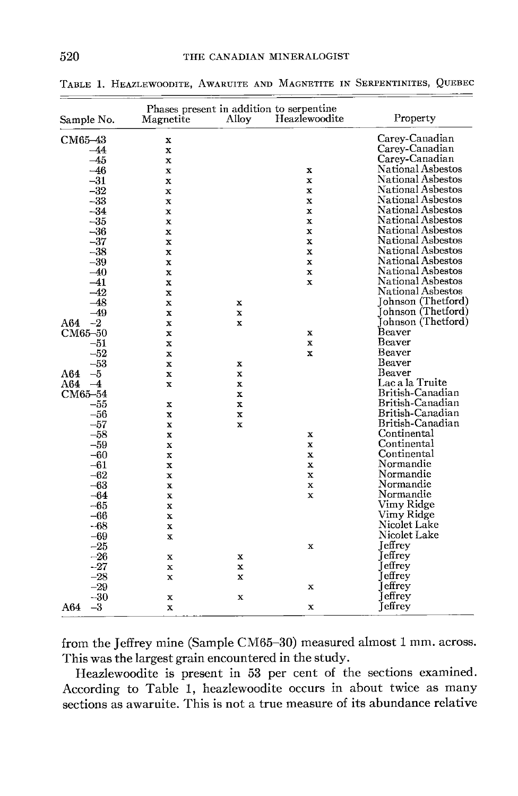| Sample No. |       | Phases present in addition to serpentine<br>Magnetite | Alloy       | Heazlewoodite | Property                 |
|------------|-------|-------------------------------------------------------|-------------|---------------|--------------------------|
| CM65-43    |       | x                                                     |             |               | Carey-Canadian           |
|            | $-44$ | X                                                     |             |               | Carey-Canadian           |
|            | -45   | x                                                     |             |               | Carey-Canadian           |
|            | $-46$ | X                                                     |             | x             | National Asbestos        |
|            | $-31$ | $\mathbf x$                                           |             | $\mathbf x$   | National Asbestos        |
|            | $-32$ | x                                                     |             | $\bf x$       | National Asbestos        |
|            | $-33$ | $\mathbf x$                                           |             | $\bf x$       | National Asbestos        |
|            | $-34$ | x                                                     |             | $\mathbf x$   | National Asbestos        |
|            | $-35$ | x                                                     |             | $\mathbf x$   | National Asbestos        |
|            | $-36$ | $\overline{\mathbf{x}}$                               |             | $\bf x$       | National Asbestos        |
|            | $-37$ | x                                                     |             | x             | <b>National Asbestos</b> |
|            | $-38$ | $\mathbf x$                                           |             | $\mathbf x$   | National Asbestos        |
|            | $-39$ | x                                                     |             | $\mathbf x$   | National Asbestos        |
|            | $-40$ | $\mathbf x$                                           |             | $\mathbf x$   | National Asbestos        |
|            | $-41$ | $\mathbf x$                                           |             | $\mathbf x$   | National Asbestos        |
|            | $-42$ | $\mathbf x$                                           |             |               | National Asbestos        |
|            | -48   | x                                                     | x           |               | Johnson (Thetford)       |
|            | $-49$ | $\mathbf x$                                           | $\mathbf x$ |               | Iohnson (Thetford)       |
| A64        | $-2$  | x                                                     | $\bf x$     |               | Johnson (Thetford)       |
| CM65-50    |       | x                                                     |             | $\bf x$       | Beaver                   |
|            | -51   | $\mathbf x$                                           |             | $\mathbf x$   | <b>Beaver</b>            |
|            | $-52$ | x                                                     |             | $\mathbf x$   | Beaver                   |
|            | $-53$ | $\mathbf x$                                           | х           |               | Beaver                   |
| A64        | $-5$  | x                                                     | x           |               | Beaver                   |
| A64        | $-4$  | $\mathbf x$                                           | $\bf x$     |               | Lac a la Truite          |
| CM65-54    |       |                                                       | x           |               | British-Canadian         |
|            | -55   | x                                                     | X           |               | British-Canadian         |
|            | $-56$ | x                                                     | x           |               | British-Canadian         |
|            | $-57$ | x                                                     | X           |               | British-Canadian         |
|            | $-58$ | $\mathbf x$                                           |             | $\mathbf x$   | Continental              |
|            | $-59$ | x                                                     |             | x             | Continental              |
|            | $-60$ | x                                                     |             | $\mathbf x$   | Continental              |
|            | $-61$ | $\mathbf x$                                           |             | x             | Normandie                |
|            | $-62$ | x                                                     |             | x             | Normandie                |
|            | $-63$ | $\bf x$                                               |             | x             | Normandie                |
|            | $-64$ | $\mathbf x$                                           |             | x             | Normandie                |
|            | -65   | $\bf x$                                               |             |               | Vimy Ridge               |
|            | -66   | x                                                     |             |               | Vimy Ridge               |
|            | $-68$ | $\bf x$                                               |             |               | Nicolet Lake             |
|            | $-69$ | $\mathbf x$                                           |             |               | Nicolet Lake             |
|            | $-25$ |                                                       |             | $\mathbf x$   | <b>I</b> effrev          |
|            | $-26$ | $\mathbf x$                                           | x           |               | Jeffrey                  |
|            | $-27$ | x                                                     | $\mathbf x$ |               | <b>Jeffrey</b>           |
|            | $-28$ | $\mathbf x$                                           | $\mathbf x$ |               | [effrey                  |
|            | $-29$ |                                                       |             | $\mathbf x$   | Jeffrey                  |
|            | $-30$ | х                                                     | x           |               | effrey                   |
| A64        | $-3$  | $\mathbf x$                                           |             | $\mathbf x$   | Jeffrey                  |

TABLE 1. HEAZLEWOODITE, AWARUITE AND MAGNETITE IN SERPENTINITES, QUEBEC

\_\_\_\_

from the Jeffrey mine (Sample CM65-30) measured almost 1 mm. across. This was the largest grain encountered in the study.

Heazlewoodite is present in 53 per cent of the sections examined. According to Table 1, heazlewoodite occurs in about twice as many sections as awaruite. This is not a true measure of its abundance relative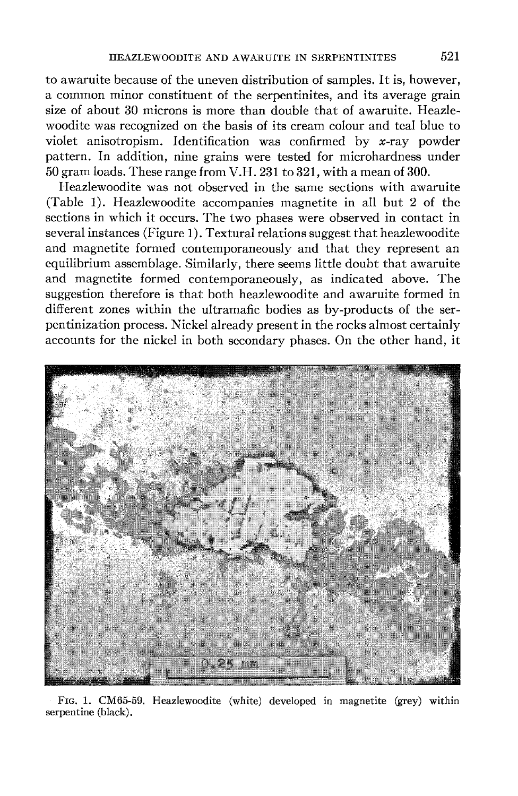to awaruite because of the uneven distribution of samples. It is, however, a common minor constituent of the serpentinites, and its average grain size of about 30 microns is more than double that of awaruite. Heazlewoodite was recognized on the basis of its cream colour and teal blue to violet anisotropism. Identification was confirmed by x-ray powder pattern. In addition, nine grains were tested for microhardness under 50 gram loads. These range from V.H. 231 to 321, with a mean of 300.

Heazlewoodite was not observed in the same sections with awaruite (Table 1). Heazlewoodite accompanies magnetite in all but 2 of the sections in which it occurs. The two phases were observed in contact in several instances (Figure 1). Textural relations suggest that heazlewoodite and magnetite formed contemporaneously and that they represent an equilibrium assemblage. Similarly, there seems little doubt that awaruite and magnetite formed contemporaneously, as indicated above. The suggestion therefore is that both heazlewoodite and awaruite formed in different zones within the ultramafic bodies as by-products of the serpentinization process. Nickel already present in the rocks almost certainly accounts for the nickel in both secondary phases. On the other hand, it



Frc. 1. CM65-59. Heazlewoodite (white) developed in magnetite (grey) within serpentine (black).